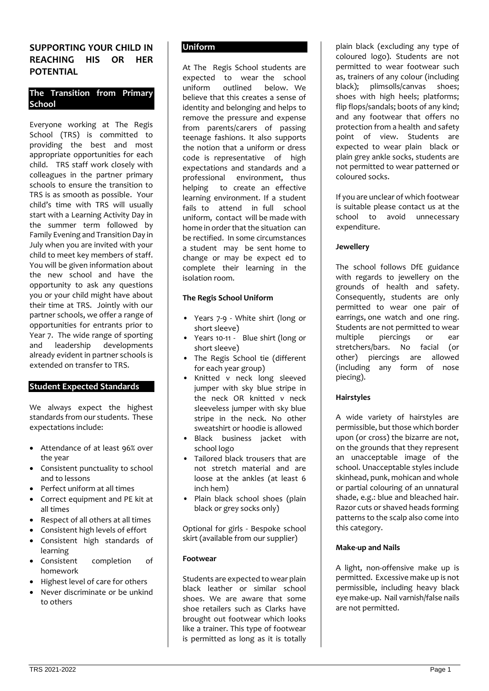# **SUPPORTING YOUR CHILD IN REACHING HIS OR HER POTENTIAL**

## **The Transition from Primary School**

Everyone working at The Regis School (TRS) is committed to providing the best and most appropriate opportunities for each child. TRS staff work closely with colleagues in the partner primary schools to ensure the transition to TRS is as smooth as possible. Your child's time with TRS will usually start with a Learning Activity Day in the summer term followed by Family Evening and Transition Day in July when you are invited with your child to meet key members of staff. You will be given information about the new school and have the opportunity to ask any questions you or your child might have about their time at TRS. Jointly with our partner schools, we offer a range of opportunities for entrants prior to Year 7. The wide range of sporting and leadership developments already evident in partner schools is extended on transfer to TRS.

## **Student Expected Standards**

We always expect the highest standards from our students. These expectations include:

- Attendance of at least 96% over the year
- Consistent punctuality to school and to lessons
- Perfect uniform at all times
- Correct equipment and PE kit at all times
- Respect of all others at all times
- Consistent high levels of effort
- Consistent high standards of learning
- Consistent completion of homework
- Highest level of care for others
- Never discriminate or be unkind to others

## **Uniform**

At The Regis School students are expected to wear the school uniform outlined below. We believe that this creates a sense of identity and belonging and helps to remove the pressure and expense from parents/carers of passing teenage fashions. It also supports the notion that a uniform or dress code is representative of high expectations and standards and a professional environment, thus helping to create an effective learning environment. If a student fails to attend in full school uniform, contact will be made with home in order that the situation can be rectified. In some circumstances a student may be sent home to change or may be expect ed to complete their learning in the isolation room.

## **The Regis School Uniform**

- Years 7-9 White shirt (long or short sleeve)
- Years 10-11 Blue shirt (long or short sleeve)
- The Regis School tie (different for each year group)
- Knitted v neck long sleeved jumper with sky blue stripe in the neck OR knitted v neck sleeveless jumper with sky blue stripe in the neck. No other sweatshirt or hoodie is allowed
- Black business jacket with school logo
- Tailored black trousers that are not stretch material and are loose at the ankles (at least 6 inch hem)
- Plain black school shoes (plain black or grey socks only)

Optional for girls - Bespoke school skirt (available from our supplier)

## **Footwear**

Students are expected to wear plain black leather or similar school shoes. We are aware that some shoe retailers such as Clarks have brought out footwear which looks like a trainer. This type of footwear is permitted as long as it is totally

plain black (excluding any type of coloured logo). Students are not permitted to wear footwear such as, trainers of any colour (including black); plimsolls/canvas shoes; shoes with high heels; platforms; flip flops/sandals; boots of any kind; and any footwear that offers no protection from a health and safety point of view. Students are expected to wear plain black or plain grey ankle socks, students are not permitted to wear patterned or coloured socks.

If you are unclear of which footwear is suitable please contact us at the school to avoid unnecessary expenditure.

## **Jewellery**

The school follows DfE guidance with regards to jewellery on the grounds of health and safety. Consequently, students are only permitted to wear one pair of earrings, one watch and one ring. Students are not permitted to wear multiple piercings or ear stretchers/bars. No facial (or other) piercings are allowed (including any form of nose piecing).

## **Hairstyles**

A wide variety of hairstyles are permissible, but those which border upon (or cross) the bizarre are not, on the grounds that they represent an unacceptable image of the school. Unacceptable styles include skinhead, punk, mohican and whole or partial colouring of an unnatural shade, e.g.: blue and bleached hair. Razor cuts or shaved heads forming patterns to the scalp also come into this category.

### **Make-up and Nails**

A light, non-offensive make up is permitted. Excessive make up is not permissible, including heavy black eye make-up. Nail varnish/false nails are not permitted.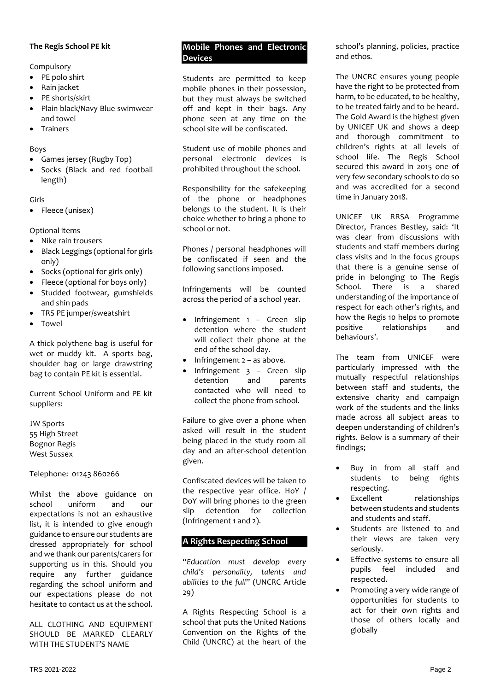## **The Regis School PE kit**

Compulsory

- PE polo shirt
- Rain jacket
- PE shorts/skirt
- Plain black/Navy Blue swimwear and towel
- **Trainers**

## Boys

- Games jersey (Rugby Top)
- Socks (Black and red football length)

## Girls

• Fleece (unisex)

Optional items

- Nike rain trousers
- Black Leggings (optional for girls only)
- Socks (optional for girls only)
- Fleece (optional for boys only)
- Studded footwear, gumshields and shin pads
- TRS PE jumper/sweatshirt
- Towel

A thick polythene bag is useful for wet or muddy kit. A sports bag, shoulder bag or large drawstring bag to contain PE kit is essential.

Current School Uniform and PE kit suppliers:

JW Sports 55 High Street Bognor Regis West Sussex

Telephone: 01243 860266

Whilst the above guidance on school uniform and our expectations is not an exhaustive list, it is intended to give enough guidance to ensure our students are dressed appropriately for school and we thank our parents/carers for supporting us in this. Should you require any further guidance regarding the school uniform and our expectations please do not hesitate to contact us at the school.

ALL CLOTHING AND EQUIPMENT SHOULD BE MARKED CLEARLY WITH THE STUDENT'S NAME

### **Mobile Phones and Electronic Devices**

Students are permitted to keep mobile phones in their possession, but they must always be switched off and kept in their bags. Any phone seen at any time on the school site will be confiscated.

Student use of mobile phones and personal electronic devices is prohibited throughout the school.

Responsibility for the safekeeping of the phone or headphones belongs to the student. It is their choice whether to bring a phone to school or not.

Phones / personal headphones will be confiscated if seen and the following sanctions imposed.

Infringements will be counted across the period of a school year.

- Infringement  $1 -$  Green slip detention where the student will collect their phone at the end of the school day.
- Infringement 2 as above.
- Infringement  $3 -$  Green slip detention and parents contacted who will need to collect the phone from school.

Failure to give over a phone when asked will result in the student being placed in the study room all day and an after-school detention given.

Confiscated devices will be taken to the respective year office. HoY / DoY will bring phones to the green slip detention for collection (Infringement 1 and 2).

# **A Rights Respecting School**

"*Education must develop every child's personality, talents and abilities to the full*" (UNCRC Article 29)

A Rights Respecting School is a school that puts the United Nations Convention on the Rights of the Child (UNCRC) at the heart of the

school's planning, policies, practice and ethos.

The UNCRC ensures young people have the right to be protected from harm, to be educated, to be healthy, to be treated fairly and to be heard. The Gold Award is the highest given by UNICEF UK and shows a deep and thorough commitment to children's rights at all levels of school life. The Regis School secured this award in 2015 one of very few secondary schools to do so and was accredited for a second time in January 2018.

UNICEF UK RRSA Programme Director, Frances Bestley, said: 'It was clear from discussions with students and staff members during class visits and in the focus groups that there is a genuine sense of pride in belonging to The Regis School. There is a shared understanding of the importance of respect for each other's rights, and how the Regis 10 helps to promote positive relationships and behaviours'.

The team from UNICEF were particularly impressed with the mutually respectful relationships between staff and students, the extensive charity and campaign work of the students and the links made across all subject areas to deepen understanding of children's rights. Below is a summary of their findings;

- Buy in from all staff and students to being rights respecting.
- Excellent relationships between students and students and students and staff.
- Students are listened to and their views are taken very seriously.
- Effective systems to ensure all pupils feel included and respected.
- Promoting a very wide range of opportunities for students to act for their own rights and those of others locally and globally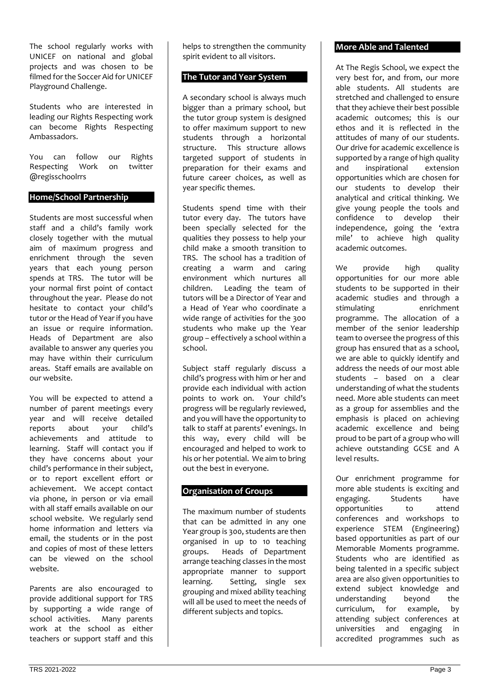The school regularly works with UNICEF on national and global projects and was chosen to be filmed for the Soccer Aid for UNICEF Playground Challenge.

Students who are interested in leading our Rights Respecting work can become Rights Respecting Ambassadors.

You can follow our Rights<br>Respecting Work on twitter Respecting Work @regisschoolrrs

## **Home/School Partnership**

Students are most successful when staff and a child's family work closely together with the mutual aim of maximum progress and enrichment through the seven years that each young person spends at TRS. The tutor will be your normal first point of contact throughout the year. Please do not hesitate to contact your child's tutor or the Head of Year if you have an issue or require information. Heads of Department are also available to answer any queries you may have within their curriculum areas. Staff emails are available on our website.

You will be expected to attend a number of parent meetings every year and will receive detailed<br>reports about vour child's reports about your achievements and attitude to learning. Staff will contact you if they have concerns about your child's performance in their subject, or to report excellent effort or achievement. We accept contact via phone, in person or via email with all staff emails available on our school website. We regularly send home information and letters via email, the students or in the post and copies of most of these letters can be viewed on the school website.

Parents are also encouraged to provide additional support for TRS by supporting a wide range of school activities. Many parents work at the school as either teachers or support staff and this

helps to strengthen the community spirit evident to all visitors.

## **The Tutor and Year System**

A secondary school is always much bigger than a primary school, but the tutor group system is designed to offer maximum support to new students through a horizontal<br>structure. This structure allows This structure allows targeted support of students in preparation for their exams and future career choices, as well as year specific themes.

Students spend time with their tutor every day. The tutors have been specially selected for the qualities they possess to help your child make a smooth transition to TRS. The school has a tradition of creating a warm and caring environment which nurtures all children. Leading the team of tutors will be a Director of Year and a Head of Year who coordinate a wide range of activities for the 300 students who make up the Year group – effectively a school within a school.

Subject staff regularly discuss a child's progress with him or her and provide each individual with action points to work on. Your child's progress will be regularly reviewed, and you will have the opportunity to talk to staff at parents' evenings. In this way, every child will be encouraged and helped to work to his or her potential. We aim to bring out the best in everyone.

## **Organisation of Groups**

The maximum number of students that can be admitted in any one Year group is 300, students are then organised in up to 10 teaching groups. Heads of Department arrange teaching classes in the most appropriate manner to support learning. Setting, single sex grouping and mixed ability teaching will all be used to meet the needs of different subjects and topics.

### **More Able and Talented**

At The Regis School, we expect the very best for, and from, our more able students. All students are stretched and challenged to ensure that they achieve their best possible academic outcomes; this is our ethos and it is reflected in the attitudes of many of our students. Our drive for academic excellence is supported by a range of high quality and inspirational extension opportunities which are chosen for our students to develop their analytical and critical thinking. We give young people the tools and confidence to develop their independence, going the 'extra mile' to achieve high quality academic outcomes.

We provide high quality opportunities for our more able students to be supported in their academic studies and through a stimulating enrichment programme. The allocation of a member of the senior leadership team to oversee the progress of this group has ensured that as a school, we are able to quickly identify and address the needs of our most able students – based on a clear understanding of what the students need. More able students can meet as a group for assemblies and the emphasis is placed on achieving academic excellence and being proud to be part of a group who will achieve outstanding GCSE and A level results.

Our enrichment programme for more able students is exciting and<br>engaging. Students have engaging. Students have opportunities to attend conferences and workshops to experience STEM (Engineering) based opportunities as part of our Memorable Moments programme. Students who are identified as being talented in a specific subject area are also given opportunities to extend subject knowledge and understanding beyond the curriculum, for example, by attending subject conferences at universities and engaging in accredited programmes such as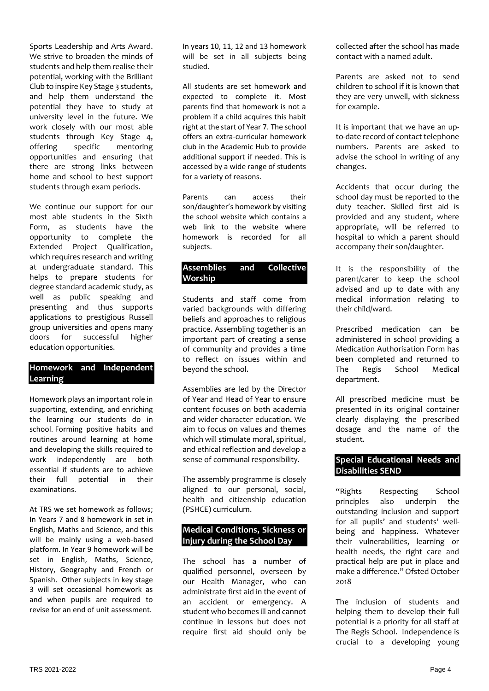Sports Leadership and Arts Award. We strive to broaden the minds of students and help them realise their potential, working with the Brilliant Club to inspire Key Stage 3 students, and help them understand the potential they have to study at university level in the future. We work closely with our most able students through Key Stage 4, offering specific mentoring opportunities and ensuring that there are strong links between home and school to best support students through exam periods.

We continue our support for our most able students in the Sixth Form, as students have the opportunity to complete the Extended Project Qualification, which requires research and writing at undergraduate standard. This helps to prepare students for degree standard academic study, as well as public speaking and presenting and thus supports applications to prestigious Russell group universities and opens many doors for successful higher education opportunities.

## **Homework and Independent Learning**

Homework plays an important role in supporting, extending, and enriching the learning our students do in school. Forming positive habits and routines around learning at home and developing the skills required to work independently are both essential if students are to achieve their full potential in their examinations.

At TRS we set homework as follows; In Years 7 and 8 homework in set in English, Maths and Science, and this will be mainly using a web-based platform. In Year 9 homework will be set in English, Maths, Science, History, Geography and French or Spanish. Other subjects in key stage 3 will set occasional homework as and when pupils are required to revise for an end of unit assessment.

In years 10, 11, 12 and 13 homework will be set in all subjects being studied.

All students are set homework and expected to complete it. Most parents find that homework is not a problem if a child acquires this habit right at the start of Year 7. The school offers an extra-curricular homework club in the Academic Hub to provide additional support if needed. This is accessed by a wide range of students for a variety of reasons.

Parents can access their son/daughter's homework by visiting the school website which contains a web link to the website where homework is recorded for all subjects.

## **Assemblies and Collective Worship**

Students and staff come from varied backgrounds with differing beliefs and approaches to religious practice. Assembling together is an important part of creating a sense of community and provides a time to reflect on issues within and beyond the school.

Assemblies are led by the Director of Year and Head of Year to ensure content focuses on both academia and wider character education. We aim to focus on values and themes which will stimulate moral, spiritual, and ethical reflection and develop a sense of communal responsibility.

The assembly programme is closely aligned to our personal, social, health and citizenship education (PSHCE) curriculum.

## **Medical Conditions, Sickness or Injury during the School Day**

The school has a number of qualified personnel, overseen by our Health Manager, who can administrate first aid in the event of an accident or emergency. A student who becomes ill and cannot continue in lessons but does not require first aid should only be collected after the school has made contact with a named adult.

Parents are asked not to send children to school if it is known that they are very unwell, with sickness for example.

It is important that we have an upto-date record of contact telephone numbers. Parents are asked to advise the school in writing of any changes.

Accidents that occur during the school day must be reported to the duty teacher. Skilled first aid is provided and any student, where appropriate, will be referred to hospital to which a parent should accompany their son/daughter.

It is the responsibility of the parent/carer to keep the school advised and up to date with any medical information relating to their child/ward.

Prescribed medication can be administered in school providing a Medication Authorisation Form has been completed and returned to<br>The Regis School Medical The Regis School Medical department.

All prescribed medicine must be presented in its original container clearly displaying the prescribed dosage and the name of the student.

## **Special Educational Needs and Disabilities SEND**

"Rights Respecting School principles also underpin the outstanding inclusion and support for all pupils' and students' wellbeing and happiness. Whatever their vulnerabilities, learning or health needs, the right care and practical help are put in place and make a difference." Ofsted October 2018

The inclusion of students and helping them to develop their full potential is a priority for all staff at The Regis School. Independence is crucial to a developing young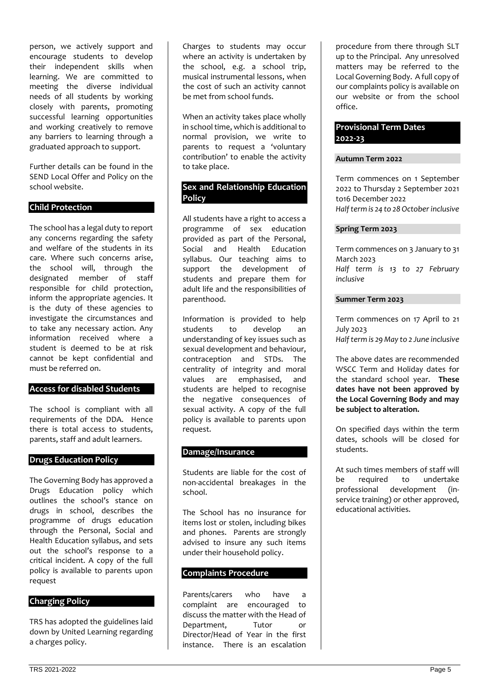person, we actively support and encourage students to develop their independent skills when learning. We are committed to meeting the diverse individual needs of all students by working closely with parents, promoting successful learning opportunities and working creatively to remove any barriers to learning through a graduated approach to support.

Further details can be found in the SEND Local Offer and Policy on the school website.

### **Child Protection**

The school has a legal duty to report any concerns regarding the safety and welfare of the students in its care. Where such concerns arise, the school will, through the designated member of staff responsible for child protection, inform the appropriate agencies. It is the duty of these agencies to investigate the circumstances and to take any necessary action. Any information received where a student is deemed to be at risk cannot be kept confidential and must be referred on.

### **Access for disabled Students**

The school is compliant with all requirements of the DDA. Hence there is total access to students, parents, staff and adult learners.

#### **Drugs Education Policy**

The Governing Body has approved a Drugs Education policy which outlines the school's stance on drugs in school, describes the programme of drugs education through the Personal, Social and Health Education syllabus, and sets out the school's response to a critical incident. A copy of the full policy is available to parents upon request

# **Charging Policy**

TRS has adopted the guidelines laid down by United Learning regarding a charges policy.

Charges to students may occur where an activity is undertaken by the school, e.g. a school trip, musical instrumental lessons, when the cost of such an activity cannot be met from school funds.

When an activity takes place wholly in school time, which is additional to normal provision, we write to parents to request a 'voluntary contribution' to enable the activity to take place.

## **Sex and Relationship Education Policy**

All students have a right to access a programme of sex education provided as part of the Personal, Social and Health Education syllabus. Our teaching aims to support the development of students and prepare them for adult life and the responsibilities of parenthood.

Information is provided to help students to develop an understanding of key issues such as sexual development and behaviour, contraception and STDs. The centrality of integrity and moral values are emphasised, and students are helped to recognise the negative consequences of sexual activity. A copy of the full policy is available to parents upon request.

### **Damage/Insurance**

Students are liable for the cost of non-accidental breakages in the school.

The School has no insurance for items lost or stolen, including bikes and phones. Parents are strongly advised to insure any such items under their household policy.

### **Complaints Procedure**

Parents/carers who have a complaint are encouraged to discuss the matter with the Head of Department, Tutor or Director/Head of Year in the first instance. There is an escalation

procedure from there through SLT up to the Principal. Any unresolved matters may be referred to the Local Governing Body. A full copy of our complaints policy is available on our website or from the school office.

## **Provisional Term Dates 2022-23**

#### **Autumn Term 2022**

Term commences on 1 September 2022 to Thursday 2 September 2021 to16 December 2022 *Half term is 24 to 28 October inclusive*

#### **Spring Term 2023**

Term commences on 3 January to 31 March 2023 *Half term is 13 to 27 February inclusive* 

### **Summer Term 2023**

Term commences on 17 April to 21 July 2023

*Half term is 29 May to 2 June inclusive* 

The above dates are recommended WSCC Term and Holiday dates for the standard school year. **These dates have not been approved by the Local Governing Body and may be subject to alteration.**

On specified days within the term dates, schools will be closed for students.

At such times members of staff will be required to undertake<br>professional development (indevelopment (inservice training) or other approved, educational activities.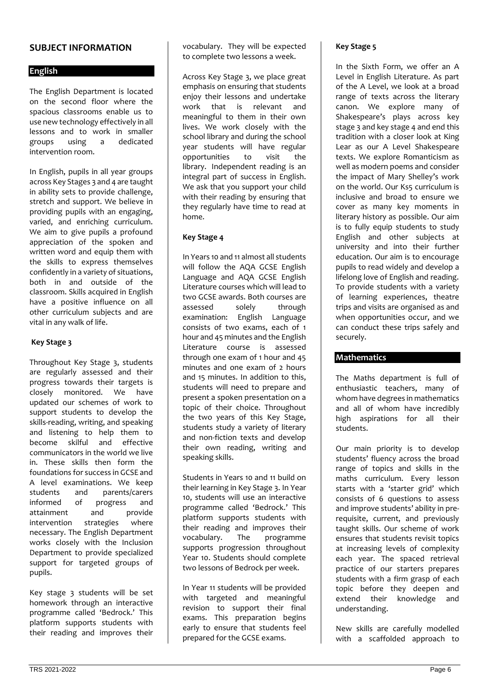## **SUBJECT INFORMATION**

### **English**

The English Department is located on the second floor where the spacious classrooms enable us to use new technology effectively in all lessons and to work in smaller groups using a dedicated intervention room.

In English, pupils in all year groups across Key Stages 3 and 4 are taught in ability sets to provide challenge, stretch and support. We believe in providing pupils with an engaging, varied, and enriching curriculum. We aim to give pupils a profound appreciation of the spoken and written word and equip them with the skills to express themselves confidently in a variety of situations, both in and outside of the classroom. Skills acquired in English have a positive influence on all other curriculum subjects and are vital in any walk of life.

### **Key Stage 3**

Throughout Key Stage 3, students are regularly assessed and their progress towards their targets is closely monitored. We have updated our schemes of work to support students to develop the skills-reading, writing, and speaking and listening to help them to become skilful and effective communicators in the world we live in. These skills then form the foundations for success in GCSE and A level examinations. We keep students and parents/carers informed of progress and attainment and provide intervention strategies where necessary. The English Department works closely with the Inclusion Department to provide specialized support for targeted groups of pupils.

Key stage 3 students will be set homework through an interactive programme called 'Bedrock.' This platform supports students with their reading and improves their

vocabulary. They will be expected to complete two lessons a week.

Across Key Stage 3, we place great emphasis on ensuring that students enjoy their lessons and undertake work that is relevant and meaningful to them in their own lives. We work closely with the school library and during the school year students will have regular opportunities to visit the library. Independent reading is an integral part of success in English. We ask that you support your child with their reading by ensuring that they regularly have time to read at home.

## **Key Stage 4**

In Years 10 and 11 almost all students will follow the AQA GCSE English Language and AQA GCSE English Literature courses which will lead to two GCSE awards. Both courses are assessed solely through examination: English Language consists of two exams, each of 1 hour and 45 minutes and the English Literature course is assessed through one exam of 1 hour and 45 minutes and one exam of 2 hours and 15 minutes. In addition to this, students will need to prepare and present a spoken presentation on a topic of their choice. Throughout the two years of this Key Stage, students study a variety of literary and non-fiction texts and develop their own reading, writing and speaking skills.

Students in Years 10 and 11 build on their learning in Key Stage 3. In Year 10, students will use an interactive programme called 'Bedrock.' This platform supports students with their reading and improves their vocabulary. The programme supports progression throughout Year 10. Students should complete two lessons of Bedrock per week.

In Year 11 students will be provided with targeted and meaningful revision to support their final exams. This preparation begins early to ensure that students feel prepared for the GCSE exams.

### **Key Stage 5**

In the Sixth Form, we offer an A Level in English Literature. As part of the A Level, we look at a broad range of texts across the literary canon. We explore many of Shakespeare's plays across key stage 3 and key stage 4 and end this tradition with a closer look at King Lear as our A Level Shakespeare texts. We explore Romanticism as well as modern poems and consider the impact of Mary Shelley's work on the world. Our Ks5 curriculum is inclusive and broad to ensure we cover as many key moments in literary history as possible. Our aim is to fully equip students to study English and other subjects at university and into their further education. Our aim is to encourage pupils to read widely and develop a lifelong love of English and reading. To provide students with a variety of learning experiences, theatre trips and visits are organised as and when opportunities occur, and we can conduct these trips safely and securely.

## **Mathematics**

The Maths department is full of enthusiastic teachers, many of whom have degrees in mathematics and all of whom have incredibly high aspirations for all their students.

Our main priority is to develop students' fluency across the broad range of topics and skills in the maths curriculum. Every lesson starts with a 'starter grid' which consists of 6 questions to assess and improve students' ability in prerequisite, current, and previously taught skills. Our scheme of work ensures that students revisit topics at increasing levels of complexity each year. The spaced retrieval practice of our starters prepares students with a firm grasp of each topic before they deepen and extend their knowledge and understanding.

New skills are carefully modelled with a scaffolded approach to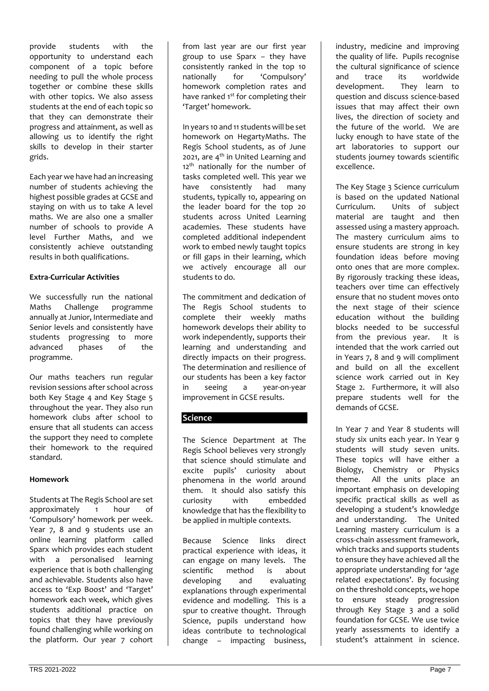provide students with the opportunity to understand each component of a topic before needing to pull the whole process together or combine these skills with other topics. We also assess students at the end of each topic so that they can demonstrate their progress and attainment, as well as allowing us to identify the right skills to develop in their starter grids.

Each year we have had an increasing number of students achieving the highest possible grades at GCSE and staying on with us to take A level maths. We are also one a smaller number of schools to provide A level Further Maths, and we consistently achieve outstanding results in both qualifications.

### **Extra-Curricular Activities**

We successfully run the national Maths Challenge programme annually at Junior, Intermediate and Senior levels and consistently have students progressing to more advanced phases of the programme.

Our maths teachers run regular revision sessions after school across both Key Stage 4 and Key Stage 5 throughout the year. They also run homework clubs after school to ensure that all students can access the support they need to complete their homework to the required standard.

### **Homework**

Students at The Regis School are set approximately 1 hour of 'Compulsory' homework per week. Year 7, 8 and 9 students use an online learning platform called Sparx which provides each student with a personalised learning experience that is both challenging and achievable. Students also have access to 'Exp Boost' and 'Target' homework each week, which gives students additional practice on topics that they have previously found challenging while working on the platform. Our year 7 cohort from last year are our first year group to use Sparx – they have consistently ranked in the top 10 nationally for 'Compulsory' homework completion rates and have ranked 1<sup>st</sup> for completing their 'Target' homework.

In years 10 and 11 students will be set homework on HegartyMaths. The Regis School students, as of June 2021, are  $4<sup>th</sup>$  in United Learning and 12<sup>th</sup> nationally for the number of tasks completed well. This year we have consistently had many students, typically 10, appearing on the leader board for the top 20 students across United Learning academies. These students have completed additional independent work to embed newly taught topics or fill gaps in their learning, which we actively encourage all our students to do.

The commitment and dedication of The Regis School students to complete their weekly maths homework develops their ability to work independently, supports their learning and understanding and directly impacts on their progress. The determination and resilience of our students has been a key factor in seeing a year-on-year improvement in GCSE results.

# **Science**

The Science Department at The Regis School believes very strongly that science should stimulate and excite pupils' curiosity about phenomena in the world around them. It should also satisfy this curiosity with embedded knowledge that has the flexibility to be applied in multiple contexts.

Because Science links direct practical experience with ideas, it can engage on many levels. The scientific method is about developing and evaluating explanations through experimental evidence and modelling. This is a spur to creative thought. Through Science, pupils understand how ideas contribute to technological change – impacting business, industry, medicine and improving the quality of life. Pupils recognise the cultural significance of science and trace its worldwide development. They learn to question and discuss science-based issues that may affect their own lives, the direction of society and the future of the world. We are lucky enough to have state of the art laboratories to support our students journey towards scientific excellence.

The Key Stage 3 Science curriculum is based on the updated National Curriculum. Units of subject material are taught and then assessed using a mastery approach. The mastery curriculum aims to ensure students are strong in key foundation ideas before moving onto ones that are more complex. By rigorously tracking these ideas, teachers over time can effectively ensure that no student moves onto the next stage of their science education without the building blocks needed to be successful from the previous year. It is intended that the work carried out in Years 7, 8 and 9 will compliment and build on all the excellent science work carried out in Key Stage 2. Furthermore, it will also prepare students well for the demands of GCSE.

In Year 7 and Year 8 students will study six units each year. In Year 9 students will study seven units. These topics will have either a Biology, Chemistry or Physics theme. All the units place an important emphasis on developing specific practical skills as well as developing a student's knowledge and understanding. The United Learning mastery curriculum is a cross-chain assessment framework, which tracks and supports students to ensure they have achieved all the appropriate understanding for 'age related expectations'. By focusing on the threshold concepts, we hope to ensure steady progression through Key Stage 3 and a solid foundation for GCSE. We use twice yearly assessments to identify a student's attainment in science.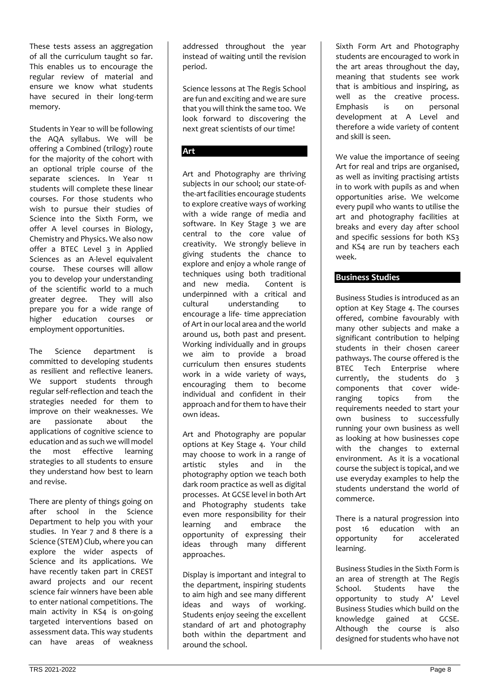These tests assess an aggregation of all the curriculum taught so far. This enables us to encourage the regular review of material and ensure we know what students have secured in their long-term memory.

Students in Year 10 will be following the AQA syllabus. We will be offering a Combined (trilogy) route for the majority of the cohort with an optional triple course of the separate sciences. In Year 11 students will complete these linear courses. For those students who wish to pursue their studies of Science into the Sixth Form, we offer A level courses in Biology, Chemistry and Physics. We also now offer a BTEC Level 3 in Applied Sciences as an A-level equivalent course. These courses will allow you to develop your understanding of the scientific world to a much greater degree. They will also prepare you for a wide range of higher education courses or employment opportunities.

The Science department is committed to developing students as resilient and reflective leaners. We support students through regular self-reflection and teach the strategies needed for them to improve on their weaknesses. We are passionate about the applications of cognitive science to education and as such we will model the most effective learning strategies to all students to ensure they understand how best to learn and revise.

There are plenty of things going on after school in the Science Department to help you with your studies. In Year 7 and 8 there is a Science (STEM) Club, where you can explore the wider aspects of Science and its applications. We have recently taken part in CREST award projects and our recent science fair winners have been able to enter national competitions. The main activity in KS4 is on-going targeted interventions based on assessment data. This way students can have areas of weakness

addressed throughout the year instead of waiting until the revision period.

Science lessons at The Regis School are fun and exciting and we are sure that you will think the same too. We look forward to discovering the next great scientists of our time!

# **Art**

Art and Photography are thriving subjects in our school; our state-ofthe-art facilities encourage students to explore creative ways of working with a wide range of media and software. In Key Stage 3 we are central to the core value of creativity. We strongly believe in giving students the chance to explore and enjoy a whole range of techniques using both traditional and new media. Content is underpinned with a critical and cultural understanding to encourage a life- time appreciation of Art in our local area and the world around us, both past and present. Working individually and in groups we aim to provide a broad curriculum then ensures students work in a wide variety of ways, encouraging them to become individual and confident in their approach and for them to have their own ideas.

Art and Photography are popular options at Key Stage 4. Your child may choose to work in a range of artistic styles and in the photography option we teach both dark room practice as well as digital processes. At GCSE level in both Art and Photography students take even more responsibility for their learning and embrace the opportunity of expressing their ideas through many different approaches.

Display is important and integral to the department, inspiring students to aim high and see many different ideas and ways of working. Students enjoy seeing the excellent standard of art and photography both within the department and around the school.

Sixth Form Art and Photography students are encouraged to work in the art areas throughout the day, meaning that students see work that is ambitious and inspiring, as well as the creative process. Emphasis is on personal development at A Level and therefore a wide variety of content and skill is seen.

We value the importance of seeing Art for real and trips are organised, as well as inviting practising artists in to work with pupils as and when opportunities arise. We welcome every pupil who wants to utilise the art and photography facilities at breaks and every day after school and specific sessions for both KS3 and KS4 are run by teachers each week.

## **Business Studies**

Business Studies is introduced as an option at Key Stage 4. The courses offered, combine favourably with many other subjects and make a significant contribution to helping students in their chosen career pathways. The course offered is the BTEC Tech Enterprise where currently, the students do 3 components that cover wideranging topics from the requirements needed to start your own business to successfully running your own business as well as looking at how businesses cope with the changes to external environment. As it is a vocational course the subject is topical, and we use everyday examples to help the students understand the world of commerce.

There is a natural progression into post 16 education with an opportunity for accelerated learning.

Business Studies in the Sixth Form is an area of strength at The Regis School. Students have the opportunity to study A' Level Business Studies which build on the knowledge gained at GCSE. Although the course is also designed for students who have not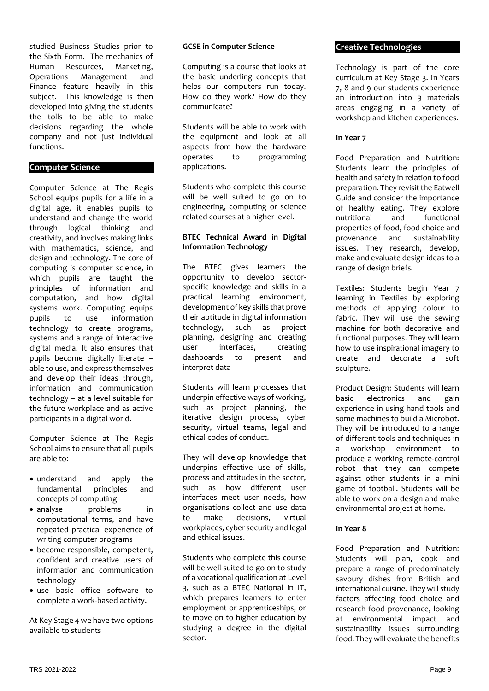studied Business Studies prior to the Sixth Form. The mechanics of Human Resources, Marketing, Operations Management and Finance feature heavily in this subject. This knowledge is then developed into giving the students the tolls to be able to make decisions regarding the whole company and not just individual functions.

### **Computer Science**

Computer Science at The Regis School equips pupils for a life in a digital age, it enables pupils to understand and change the world through logical thinking and creativity, and involves making links with mathematics, science, and design and technology. The core of computing is computer science, in which pupils are taught the principles of information and computation, and how digital systems work. Computing equips pupils to use information technology to create programs, systems and a range of interactive digital media. It also ensures that pupils become digitally literate – able to use, and express themselves and develop their ideas through, information and communication technology – at a level suitable for the future workplace and as active participants in a digital world.

Computer Science at The Regis School aims to ensure that all pupils are able to:

- understand and apply the fundamental principles and concepts of computing
- analyse **problems** in computational terms, and have repeated practical experience of writing computer programs
- become responsible, competent, confident and creative users of information and communication technology
- use basic office software to complete a work-based activity.

At Key Stage 4 we have two options available to students

#### **GCSE in Computer Science**

Computing is a course that looks at the basic underling concepts that helps our computers run today. How do they work? How do they communicate?

Students will be able to work with the equipment and look at all aspects from how the hardware operates to programming applications.

Students who complete this course will be well suited to go on to engineering, computing or science related courses at a higher level.

### **BTEC Technical Award in Digital Information Technology**

The BTEC gives learners the opportunity to develop sectorspecific knowledge and skills in a practical learning environment, development of key skills that prove their aptitude in digital information technology, such as project planning, designing and creating user interfaces, creating dashboards to present and interpret data

Students will learn processes that underpin effective ways of working, such as project planning, the iterative design process, cyber security, virtual teams, legal and ethical codes of conduct.

They will develop knowledge that underpins effective use of skills, process and attitudes in the sector, such as how different user interfaces meet user needs, how organisations collect and use data to make decisions, virtual workplaces, cyber security and legal and ethical issues.

Students who complete this course will be well suited to go on to study of a vocational qualification at Level 3, such as a BTEC National in IT, which prepares learners to enter employment or apprenticeships, or to move on to higher education by studying a degree in the digital sector.

#### **Creative Technologies**

Technology is part of the core curriculum at Key Stage 3. In Years 7, 8 and 9 our students experience an introduction into 3 materials areas engaging in a variety of workshop and kitchen experiences.

### **In Year 7**

Food Preparation and Nutrition: Students learn the principles of health and safety in relation to food preparation. They revisit the Eatwell Guide and consider the importance of healthy eating. They explore<br>nutritional and functional nutritional properties of food, food choice and provenance and sustainability issues. They research, develop, make and evaluate design ideas to a range of design briefs.

Textiles: Students begin Year 7 learning in Textiles by exploring methods of applying colour to fabric. They will use the sewing machine for both decorative and functional purposes. They will learn how to use inspirational imagery to create and decorate a soft sculpture.

Product Design: Students will learn basic electronics and gain experience in using hand tools and some machines to build a Microbot. They will be introduced to a range of different tools and techniques in a workshop environment to produce a working remote-control robot that they can compete against other students in a mini game of football. Students will be able to work on a design and make environmental project at home.

#### **In Year 8**

Food Preparation and Nutrition: Students will plan, cook and prepare a range of predominately savoury dishes from British and international cuisine. They will study factors affecting food choice and research food provenance, looking at environmental impact and sustainability issues surrounding food. They will evaluate the benefits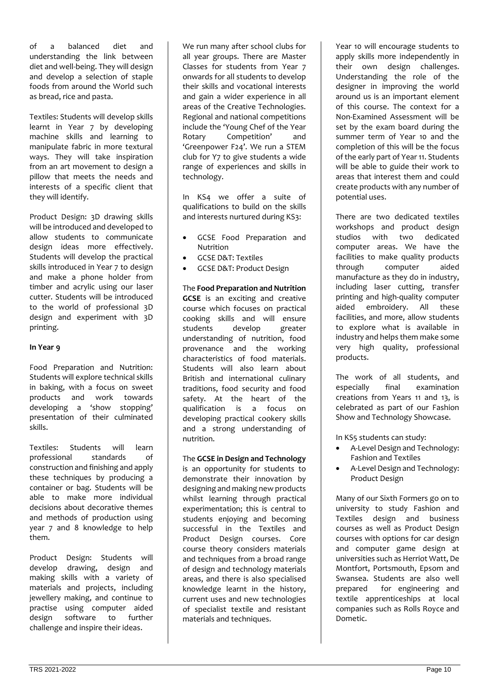of a balanced diet and understanding the link between diet and well-being. They will design and develop a selection of staple foods from around the World such as bread, rice and pasta.

Textiles: Students will develop skills learnt in Year 7 by developing machine skills and learning to manipulate fabric in more textural ways. They will take inspiration from an art movement to design a pillow that meets the needs and interests of a specific client that they will identify.

Product Design: 3D drawing skills will be introduced and developed to allow students to communicate design ideas more effectively. Students will develop the practical skills introduced in Year 7 to design and make a phone holder from timber and acrylic using our laser cutter. Students will be introduced to the world of professional 3D design and experiment with 3D printing.

### **In Year 9**

Food Preparation and Nutrition: Students will explore technical skills in baking, with a focus on sweet products and work towards developing a 'show stopping' presentation of their culminated skills.

Textiles: Students will learn professional standards of construction and finishing and apply these techniques by producing a container or bag. Students will be able to make more individual decisions about decorative themes and methods of production using year 7 and 8 knowledge to help them.

Product Design: Students will develop drawing, design and making skills with a variety of materials and projects, including jewellery making, and continue to practise using computer aided design software to further challenge and inspire their ideas.

We run many after school clubs for all year groups. There are Master Classes for students from Year 7 onwards for all students to develop their skills and vocational interests and gain a wider experience in all areas of the Creative Technologies. Regional and national competitions include the 'Young Chef of the Year Rotary Competition' and 'Greenpower F24'. We run a STEM club for Y7 to give students a wide range of experiences and skills in technology.

In KS4 we offer a suite of qualifications to build on the skills and interests nurtured during KS3:

- GCSE Food Preparation and Nutrition
- GCSE D&T: Textiles
- GCSE D&T: Product Design

The **Food Preparation and Nutrition GCSE** is an exciting and creative course which focuses on practical cooking skills and will ensure students develop greater understanding of nutrition, food provenance and the working characteristics of food materials. Students will also learn about British and international culinary traditions, food security and food safety. At the heart of the qualification is a focus on developing practical cookery skills and a strong understanding of nutrition.

### The **GCSE in Design and Technology**

is an opportunity for students to demonstrate their innovation by designing and making new products whilst learning through practical experimentation; this is central to students enjoying and becoming successful in the Textiles and Product Design courses. Core course theory considers materials and techniques from a broad range of design and technology materials areas, and there is also specialised knowledge learnt in the history, current uses and new technologies of specialist textile and resistant materials and techniques.

Year 10 will encourage students to apply skills more independently in their own design challenges. Understanding the role of the designer in improving the world around us is an important element of this course. The context for a Non-Examined Assessment will be set by the exam board during the summer term of Year 10 and the completion of this will be the focus of the early part of Year 11. Students will be able to guide their work to areas that interest them and could create products with any number of potential uses.

There are two dedicated textiles workshops and product design studios with two dedicated computer areas. We have the facilities to make quality products through computer aided manufacture as they do in industry, including laser cutting, transfer printing and high-quality computer aided embroidery. All these facilities, and more, allow students to explore what is available in industry and helps them make some very high quality, professional products.

The work of all students, and especially final examination creations from Years 11 and 13, is celebrated as part of our Fashion Show and Technology Showcase.

In KS5 students can study:

- A-Level Design and Technology: Fashion and Textiles
- A-Level Design and Technology: Product Design

Many of our Sixth Formers go on to university to study Fashion and Textiles design and business courses as well as Product Design courses with options for car design and computer game design at universities such as Herriot Watt, De Montfort, Portsmouth, Epsom and Swansea. Students are also well prepared for engineering and textile apprenticeships at local companies such as Rolls Royce and Dometic.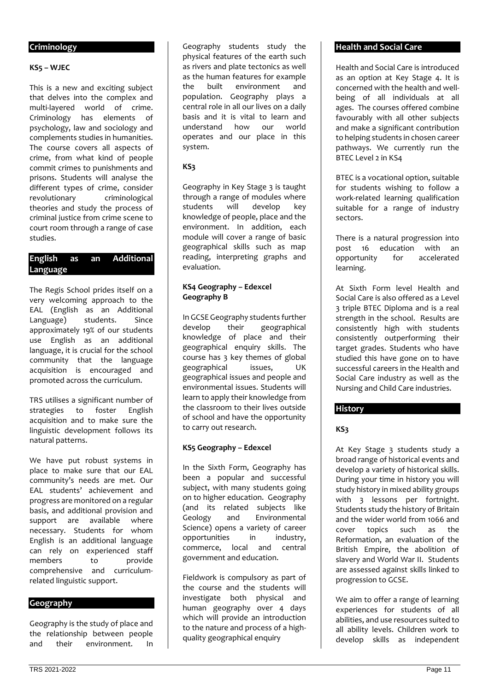### **Criminology**

### **KS5 – WJEC**

This is a new and exciting subject that delves into the complex and multi-layered world of crime. Criminology has elements of psychology, law and sociology and complements studies in humanities. The course covers all aspects of crime, from what kind of people commit crimes to punishments and prisons. Students will analyse the different types of crime, consider revolutionary criminological theories and study the process of criminal justice from crime scene to court room through a range of case studies.

## **English as an Additional Language**

The Regis School prides itself on a very welcoming approach to the EAL (English as an Additional Language) students. Since approximately 19% of our students use English as an additional language, it is crucial for the school community that the language acquisition is encouraged and promoted across the curriculum.

TRS utilises a significant number of strategies to foster English acquisition and to make sure the linguistic development follows its natural patterns.

We have put robust systems in place to make sure that our EAL community's needs are met. Our EAL students' achievement and progress are monitored on a regular basis, and additional provision and support are available where necessary. Students for whom English is an additional language can rely on experienced staff<br>members to provide members to comprehensive and curriculumrelated linguistic support.

### **Geography**

Geography is the study of place and the relationship between people<br>and their environment. In environment. In

Geography students study the physical features of the earth such as rivers and plate tectonics as well as the human features for example the built environment and population. Geography plays a central role in all our lives on a daily basis and it is vital to learn and understand how our world operates and our place in this system.

## **KS3**

Geography in Key Stage 3 is taught through a range of modules where students will develop key knowledge of people, place and the environment. In addition, each module will cover a range of basic geographical skills such as map reading, interpreting graphs and evaluation.

### **KS4 Geography – Edexcel Geography B**

In GCSE Geography students further develop their geographical knowledge of place and their geographical enquiry skills. The course has 3 key themes of global geographical issues, UK geographical issues and people and environmental issues. Students will learn to apply their knowledge from the classroom to their lives outside of school and have the opportunity to carry out research.

### **KS5 Geography – Edexcel**

In the Sixth Form, Geography has been a popular and successful subject, with many students going on to higher education. Geography (and its related subjects like Geology and Environmental Science) opens a variety of career opportunities in industry, commerce, local and central government and education.

Fieldwork is compulsory as part of the course and the students will investigate both physical and human geography over 4 days which will provide an introduction to the nature and process of a highquality geographical enquiry

#### **Health and Social Care**

Health and Social Care is introduced as an option at Key Stage 4. It is concerned with the health and wellbeing of all individuals at all ages. The courses offered combine favourably with all other subjects and make a significant contribution to helping students in chosen career pathways. We currently run the BTEC Level 2 in KS4

BTEC is a vocational option, suitable for students wishing to follow a work-related learning qualification suitable for a range of industry sectors.

There is a natural progression into post 16 education with an opportunity for accelerated learning.

At Sixth Form level Health and Social Care is also offered as a Level 3 triple BTEC Diploma and is a real strength in the school. Results are consistently high with students consistently outperforming their target grades. Students who have studied this have gone on to have successful careers in the Health and Social Care industry as well as the Nursing and Child Care industries.

### **History**

## **KS3**

At Key Stage 3 students study a broad range of historical events and develop a variety of historical skills. During your time in history you will study history in mixed ability groups with 3 lessons per fortnight. Students study the history of Britain and the wider world from 1066 and cover topics such as the Reformation, an evaluation of the British Empire, the abolition of slavery and World War II. Students are assessed against skills linked to progression to GCSE.

We aim to offer a range of learning experiences for students of all abilities, and use resources suited to all ability levels. Children work to develop skills as independent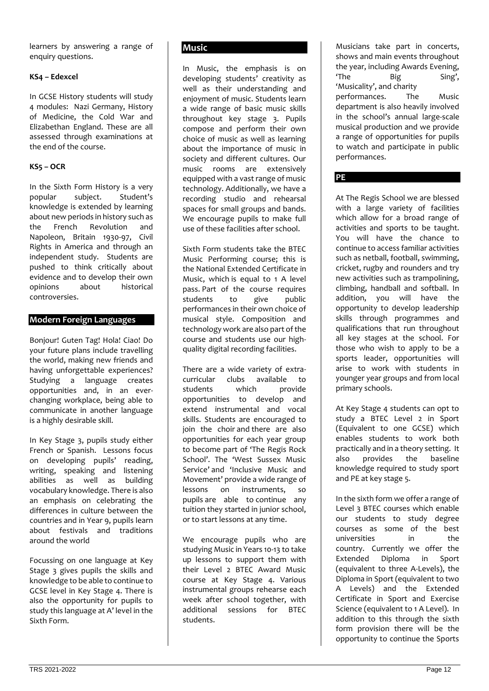learners by answering a range of enquiry questions.

## **KS4 – Edexcel**

In GCSE History students will study 4 modules: Nazi Germany, History of Medicine, the Cold War and Elizabethan England. These are all assessed through examinations at the end of the course.

## **KS5 – OCR**

In the Sixth Form History is a very popular subject. Student's knowledge is extended by learning about new periods in history such as the French Revolution and Napoleon, Britain 1930-97, Civil Rights in America and through an independent study. Students are pushed to think critically about evidence and to develop their own opinions about historical controversies.

## **Modern Foreign Languages**

Bonjour! Guten Tag! Hola! Ciao! Do your future plans include travelling the world, making new friends and having unforgettable experiences? Studying a language creates opportunities and, in an everchanging workplace, being able to communicate in another language is a highly desirable skill.

In Key Stage 3, pupils study either French or Spanish. Lessons focus on developing pupils' reading, writing, speaking and listening abilities as well as building vocabulary knowledge. There is also an emphasis on celebrating the differences in culture between the countries and in Year 9, pupils learn about festivals and traditions around the world

Focussing on one language at Key Stage 3 gives pupils the skills and knowledge to be able to continue to GCSE level in Key Stage 4. There is also the opportunity for pupils to study this language at A' level in the Sixth Form.

## **Music**

In Music, the emphasis is on developing students' creativity as well as their understanding and enjoyment of music. Students learn a wide range of basic music skills throughout key stage 3. Pupils compose and perform their own choice of music as well as learning about the importance of music in society and different cultures. Our music rooms are extensively equipped with a vast range of music technology. Additionally, we have a recording studio and rehearsal spaces for small groups and bands. We encourage pupils to make full use of these facilities after school.

Sixth Form students take the BTEC Music Performing course; this is the National Extended Certificate in Music, which is equal to 1 A level pass. Part of the course requires students to give public performances in their own choice of musical style. Composition and technology work are also part of the course and students use our highquality digital recording facilities.

There are a wide variety of extracurricular clubs available to students which provide opportunities to develop and extend instrumental and vocal skills. Students are encouraged to join the choir and there are also opportunities for each year group to become part of 'The Regis Rock School'. The 'West Sussex Music Service' and 'Inclusive Music and Movement' provide a wide range of<br>lessons on instruments. so instruments, so pupils are able to continue any tuition they started in junior school, or to start lessons at any time.

We encourage pupils who are studying Music in Years 10-13 to take up lessons to support them with their Level 2 BTEC Award Music course at Key Stage 4. Various instrumental groups rehearse each week after school together, with additional sessions for BTEC students.

Musicians take part in concerts, shows and main events throughout the year, including Awards Evening, 'The Big Sing', 'Musicality', and charity<br>
performances The performances. The Music department is also heavily involved in the school's annual large-scale musical production and we provide a range of opportunities for pupils to watch and participate in public performances.

## **PE**

At The Regis School we are blessed with a large variety of facilities which allow for a broad range of activities and sports to be taught. You will have the chance to continue to access familiar activities such as netball, football, swimming, cricket, rugby and rounders and try new activities such as trampolining, climbing, handball and softball. In addition, you will have the opportunity to develop leadership skills through programmes and qualifications that run throughout all key stages at the school. For those who wish to apply to be a sports leader, opportunities will arise to work with students in younger year groups and from local primary schools.

At Key Stage 4 students can opt to study a BTEC Level 2 in Sport (Equivalent to one GCSE) which enables students to work both practically and in a theory setting. It also provides the baseline knowledge required to study sport and PE at key stage 5.

In the sixth form we offer a range of Level 3 BTEC courses which enable our students to study degree courses as some of the best universities in the country. Currently we offer the Extended Diploma in Sport (equivalent to three A-Levels), the Diploma in Sport (equivalent to two A Levels) and the Extended Certificate in Sport and Exercise Science (equivalent to 1 A Level). In addition to this through the sixth form provision there will be the opportunity to continue the Sports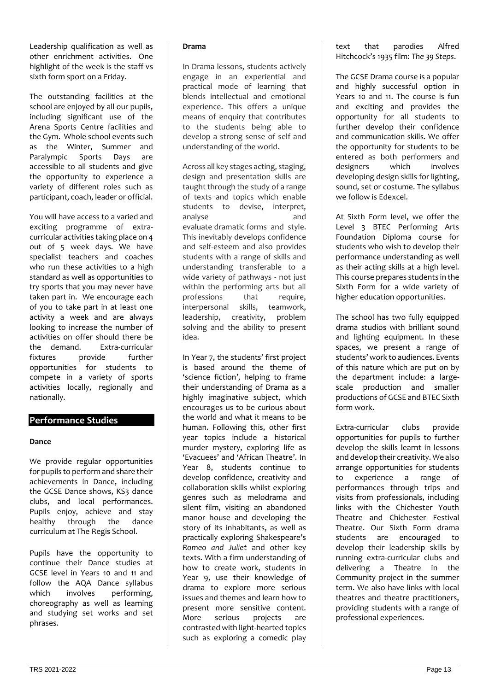Leadership qualification as well as other enrichment activities. One highlight of the week is the staff vs sixth form sport on a Friday.

The outstanding facilities at the school are enjoyed by all our pupils, including significant use of the Arena Sports Centre facilities and the Gym. Whole school events such as the Winter, Summer and Paralympic Sports Days are accessible to all students and give the opportunity to experience a variety of different roles such as participant, coach, leader or official.

You will have access to a varied and exciting programme of extracurricular activities taking place on 4 out of 5 week days. We have specialist teachers and coaches who run these activities to a high standard as well as opportunities to try sports that you may never have taken part in. We encourage each of you to take part in at least one activity a week and are always looking to increase the number of activities on offer should there be the demand. Extra-curricular fixtures provide further opportunities for students to compete in a variety of sports activities locally, regionally and nationally.

## **Performance Studies**

### **Dance**

We provide regular opportunities for pupils to perform and share their achievements in Dance, including the GCSE Dance shows, KS3 dance clubs, and local performances. Pupils enjoy, achieve and stay healthy through the dance curriculum at The Regis School.

Pupils have the opportunity to continue their Dance studies at GCSE level in Years 10 and 11 and follow the AQA Dance syllabus which involves performing, choreography as well as learning and studying set works and set phrases.

### **Drama**

In Drama lessons, students actively engage in an experiential and practical mode of learning that blends intellectual and emotional experience. This offers a unique means of enquiry that contributes to the students being able to develop a strong sense of self and understanding of the world.

Across all key stages acting, staging, design and presentation skills are taught through the study of a range of texts and topics which enable students to devise, interpret, analyse and evaluate dramatic forms and style. This inevitably develops confidence and self-esteem and also provides students with a range of skills and understanding transferable to a wide variety of pathways - not just within the performing arts but all professions that require, interpersonal skills, teamwork, leadership, creativity, problem solving and the ability to present idea.

In Year 7, the students' first project is based around the theme of 'science fiction', helping to frame their understanding of Drama as a highly imaginative subject, which encourages us to be curious about the world and what it means to be human. Following this, other first year topics include a historical murder mystery, exploring life as 'Evacuees' and 'African Theatre'. In Year 8, students continue to develop confidence, creativity and collaboration skills whilst exploring genres such as melodrama and silent film, visiting an abandoned manor house and developing the story of its inhabitants, as well as practically exploring Shakespeare's *Romeo and Juliet* and other key texts. With a firm understanding of how to create work, students in Year 9, use their knowledge of drama to explore more serious issues and themes and learn how to present more sensitive content. More serious projects are contrasted with light-hearted topics such as exploring a comedic play

text that parodies Alfred Hitchcock's 1935 film: *The 39 Steps*.

The GCSE Drama course is a popular and highly successful option in Years 10 and 11. The course is fun and exciting and provides the opportunity for all students to further develop their confidence and communication skills. We offer the opportunity for students to be entered as both performers and<br>designers which involves designers developing design skills for lighting, sound, set or costume. The syllabus we follow is Edexcel.

At Sixth Form level, we offer the Level 3 BTEC Performing Arts Foundation Diploma course for students who wish to develop their performance understanding as well as their acting skills at a high level. This course prepares students in the Sixth Form for a wide variety of higher education opportunities.

The school has two fully equipped drama studios with brilliant sound and lighting equipment. In these spaces, we present a range of students' work to audiences. Events of this nature which are put on by the department include: a largescale production and smaller productions of GCSE and BTEC Sixth form work.

Extra-curricular clubs provide opportunities for pupils to further develop the skills learnt in lessons and develop their creativity. We also arrange opportunities for students to experience a range of performances through trips and visits from professionals, including links with the Chichester Youth Theatre and Chichester Festival Theatre. Our Sixth Form drama students are encouraged to develop their leadership skills by running extra-curricular clubs and delivering a Theatre in the Community project in the summer term. We also have links with local theatres and theatre practitioners, providing students with a range of professional experiences.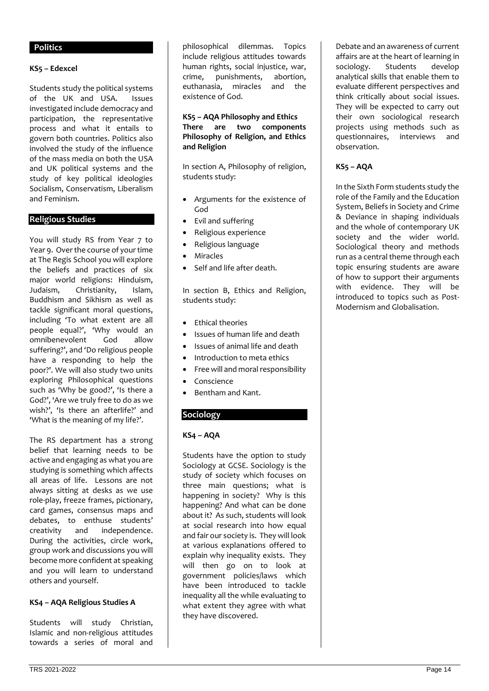### **Politics**

#### **KS5 – Edexcel**

Students study the political systems of the UK and USA. Issues investigated include democracy and participation, the representative process and what it entails to govern both countries. Politics also involved the study of the influence of the mass media on both the USA and UK political systems and the study of key political ideologies Socialism, Conservatism, Liberalism and Feminism.

### **Religious Studies**

You will study RS from Year 7 to Year 9. Over the course of your time at The Regis School you will explore the beliefs and practices of six major world religions: Hinduism, Judaism, Christianity, Islam, Buddhism and Sikhism as well as tackle significant moral questions, including 'To what extent are all people equal?', 'Why would an omnibenevolent God allow suffering?', and 'Do religious people have a responding to help the poor?'. We will also study two units exploring Philosophical questions such as 'Why be good?', 'Is there a God?', 'Are we truly free to do as we wish?', 'Is there an afterlife?' and 'What is the meaning of my life?'.

The RS department has a strong belief that learning needs to be active and engaging as what you are studying is something which affects all areas of life. Lessons are not always sitting at desks as we use role-play, freeze frames, pictionary, card games, consensus maps and debates, to enthuse students' creativity and independence. During the activities, circle work, group work and discussions you will become more confident at speaking and you will learn to understand others and yourself.

#### **KS4 – AQA Religious Studies A**

Students will study Christian, Islamic and non-religious attitudes towards a series of moral and philosophical dilemmas. Topics include religious attitudes towards human rights, social injustice, war, crime, punishments, abortion, euthanasia, miracles and the existence of God.

### **KS5 – AQA Philosophy and Ethics There are two components Philosophy of Religion, and Ethics and Religion**

In section A, Philosophy of religion, students study:

- Arguments for the existence of God
- Evil and suffering
- Religious experience
- Religious language
- **Miracles**
- Self and life after death.

In section B, Ethics and Religion, students study:

- Ethical theories
- Issues of human life and death
- Issues of animal life and death
- Introduction to meta ethics
- Free will and moral responsibility
- Conscience
- Bentham and Kant.

## **Sociology**

### **KS4 – AQA**

Students have the option to study Sociology at GCSE. Sociology is the study of society which focuses on three main questions; what is happening in society? Why is this happening? And what can be done about it? As such, students will look at social research into how equal and fair our society is. They will look at various explanations offered to explain why inequality exists. They will then go on to look at government policies/laws which have been introduced to tackle inequality all the while evaluating to what extent they agree with what they have discovered.

Debate and an awareness of current affairs are at the heart of learning in sociology. Students develop analytical skills that enable them to evaluate different perspectives and think critically about social issues. They will be expected to carry out their own sociological research projects using methods such as questionnaires, interviews and observation.

## **KS5 – AQA**

In the Sixth Form students study the role of the Family and the Education System, Beliefs in Society and Crime & Deviance in shaping individuals and the whole of contemporary UK society and the wider world. Sociological theory and methods run as a central theme through each topic ensuring students are aware of how to support their arguments with evidence. They will be introduced to topics such as Post-Modernism and Globalisation.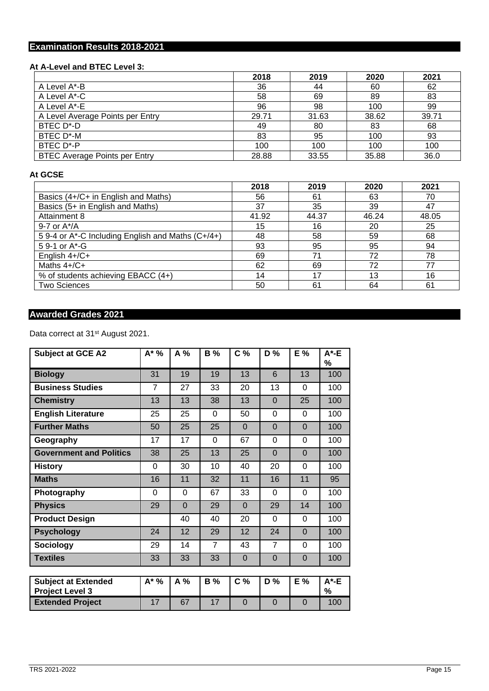# **Examination Results 2018-2021**

## **At A-Level and BTEC Level 3:**

|                                      | 2018  | 2019  | 2020  | 2021  |
|--------------------------------------|-------|-------|-------|-------|
| A Level A*-B                         | 36    | 44    | 60    | 62    |
| A Level A*-C                         | 58    | 69    | 89    | 83    |
| A Level A*-E                         | 96    | 98    | 100   | 99    |
| A Level Average Points per Entry     | 29.71 | 31.63 | 38.62 | 39.71 |
| BTEC D*-D                            | 49    | 80    | 83    | 68    |
| BTEC D*-M                            | 83    | 95    | 100   | 93    |
| BTEC D*-P                            | 100   | 100   | 100   | 100   |
| <b>BTEC Average Points per Entry</b> | 28.88 | 33.55 | 35.88 | 36.0  |

## **At GCSE**

|                                                   | 2018  | 2019  | 2020  | 2021  |
|---------------------------------------------------|-------|-------|-------|-------|
| Basics (4+/C+ in English and Maths)               | 56    | 61    | 63    | 70    |
| Basics (5+ in English and Maths)                  | 37    | 35    | 39    | 47    |
| Attainment 8                                      | 41.92 | 44.37 | 46.24 | 48.05 |
| 9-7 or $A^*/A$                                    | 15    | 16    | 20    | 25    |
| 5 9-4 or A*-C Including English and Maths (C+/4+) | 48    | 58    | 59    | 68    |
| 5 9-1 or A*-G                                     | 93    | 95    | 95    | 94    |
| English 4+/C+                                     | 69    | 71    | 72    | 78    |
| Maths $4+(C+$                                     | 62    | 69    | 72    | 77    |
| % of students achieving EBACC (4+)                | 14    | 17    | 13    | 16    |
| <b>Two Sciences</b>                               | 50    | 61    | 64    | 61    |

# **Awarded Grades 2021**

Data correct at 31<sup>st</sup> August 2021.

| <b>Subject at GCE A2</b>                             | A* %           | A %            | <b>B</b> %     | C <sub>%</sub> | D %            | E %            | $A^*$ -E<br>% |
|------------------------------------------------------|----------------|----------------|----------------|----------------|----------------|----------------|---------------|
| <b>Biology</b>                                       | 31             | 19             | 19             | 13             | 6              | 13             | 100           |
| <b>Business Studies</b>                              | $\overline{7}$ | 27             | 33             | 20             | 13             | 0              | 100           |
| <b>Chemistry</b>                                     | 13             | 13             | 38             | 13             | $\Omega$       | 25             | 100           |
| <b>English Literature</b>                            | 25             | 25             | $\Omega$       | 50             | 0              | 0              | 100           |
| <b>Further Maths</b>                                 | 50             | 25             | 25             | $\Omega$       | $\Omega$       | $\Omega$       | 100           |
| Geography                                            | 17             | 17             | $\Omega$       | 67             | 0              | $\mathbf 0$    | 100           |
| <b>Government and Politics</b>                       | 38             | 25             | 13             | 25             | $\Omega$       | $\overline{0}$ | 100           |
| <b>History</b>                                       | $\Omega$       | 30             | 10             | 40             | 20             | $\Omega$       | 100           |
| <b>Maths</b>                                         | 16             | 11             | 32             | 11             | 16             | 11             | 95            |
| Photography                                          | 0              | 0              | 67             | 33             | 0              | 0              | 100           |
| <b>Physics</b>                                       | 29             | $\overline{0}$ | 29             | $\Omega$       | 29             | 14             | 100           |
| <b>Product Design</b>                                |                | 40             | 40             | 20             | $\Omega$       | 0              | 100           |
| <b>Psychology</b>                                    | 24             | 12             | 29             | 12             | 24             | $\overline{0}$ | 100           |
| Sociology                                            | 29             | 14             | $\overline{7}$ | 43             | $\overline{7}$ | $\mathbf 0$    | 100           |
| <b>Textiles</b>                                      | 33             | 33             | 33             | $\Omega$       | $\Omega$       | $\overline{0}$ | 100           |
|                                                      |                |                |                |                |                |                |               |
| <b>Subject at Extended</b><br><b>Project Level 3</b> | $A^*$ %        | A %            | <b>B</b> %     | C <sub>0</sub> | D %            | E %            | $A^*$ -E<br>% |
| <b>Extended Project</b>                              | 17             | 67             | 17             | $\Omega$       | $\Omega$       | $\Omega$       | 100           |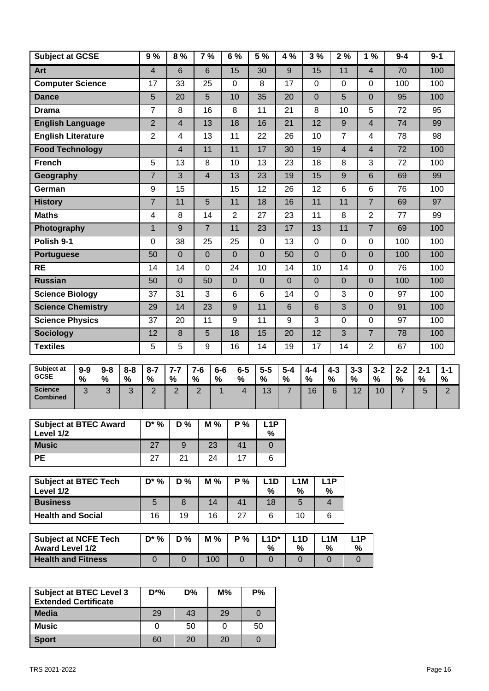| <b>Art</b><br><b>Computer Science</b><br><b>Dance</b><br><b>Drama</b> | $\overline{\mathbf{4}}$<br>17<br>$\overline{5}$<br>$\overline{7}$<br>$\overline{2}$ | $6\phantom{1}$<br>33<br>20<br>8 | $6\phantom{1}$<br>25<br>$\overline{5}$<br>16 |               | 15<br>$\pmb{0}$ | 30<br>8               | 9               | 15              | 11              |              | $\overline{4}$  | 70              |              | 100             |
|-----------------------------------------------------------------------|-------------------------------------------------------------------------------------|---------------------------------|----------------------------------------------|---------------|-----------------|-----------------------|-----------------|-----------------|-----------------|--------------|-----------------|-----------------|--------------|-----------------|
|                                                                       |                                                                                     |                                 |                                              |               |                 |                       |                 |                 |                 |              |                 |                 |              |                 |
|                                                                       |                                                                                     |                                 |                                              |               |                 |                       | 17              | 0               | 0               |              | $\pmb{0}$       | 100             |              | 100             |
|                                                                       |                                                                                     |                                 |                                              |               | 10              | 35                    | $\overline{20}$ | $\overline{0}$  | $\overline{5}$  |              | $\mathbf 0$     | $\overline{95}$ |              | 100             |
|                                                                       |                                                                                     |                                 |                                              |               | 8               | 11                    | 21              | 8               | 10              |              | 5               | 72              |              | 95              |
| <b>English Language</b>                                               |                                                                                     | $\overline{4}$                  | $\overline{13}$                              |               | $\overline{18}$ | 16                    | $\overline{21}$ | $\overline{12}$ | $\overline{9}$  |              | $\overline{4}$  | $\overline{74}$ |              | 99              |
| <b>English Literature</b>                                             | $\overline{2}$                                                                      | $\overline{\mathbf{4}}$         | 13                                           |               | 11              | 22                    | 26              | 10              | $\overline{7}$  |              | $\overline{4}$  | 78              |              | 98              |
| <b>Food Technology</b>                                                |                                                                                     | $\overline{\mathbf{4}}$         | 11                                           |               | 11              | 17                    | 30              | 19              | $\overline{4}$  |              | $\overline{4}$  | $\overline{72}$ |              | 100             |
| <b>French</b>                                                         | $\overline{5}$                                                                      | 13                              | 8                                            |               | 10              | 13                    | 23              | 18              | 8               |              | 3               | $\overline{72}$ |              | 100             |
| Geography                                                             | $\overline{7}$                                                                      | 3                               | $\overline{4}$                               |               | 13              | 23                    | 19              | 15              | 9               |              | $\,6\,$         | 69              |              | 99              |
| German                                                                | 9                                                                                   | $\overline{15}$                 |                                              |               | 15              | $\overline{12}$       | 26              | $\overline{12}$ | 6               |              | $6\phantom{1}$  | 76              |              | 100             |
| <b>History</b>                                                        | $\overline{7}$                                                                      | 11                              | $\overline{5}$                               |               | 11              | 18                    | 16              | 11              | 11              |              | $\overline{7}$  | 69              |              | 97              |
| <b>Maths</b>                                                          | 4                                                                                   | 8                               | 14                                           |               | $\overline{2}$  | 27                    | 23              | 11              | 8               |              | $\overline{2}$  | 77              |              | 99              |
| Photography                                                           | $\overline{1}$                                                                      | 9                               | $\overline{7}$                               |               | 11              | 23                    | 17              | 13              | 11              |              | $\overline{7}$  | 69              |              | 100             |
| Polish 9-1                                                            | $\mathsf 0$                                                                         | 38                              | 25                                           |               | 25              | $\pmb{0}$             | 13              | 0               | $\Omega$        |              | $\pmb{0}$       | 100             |              | 100             |
| <b>Portuguese</b>                                                     | 50                                                                                  | $\mathbf 0$                     | $\mathbf 0$                                  |               | $\overline{0}$  | $\overline{0}$        | 50              | $\overline{0}$  | $\overline{0}$  |              | $\overline{0}$  | 100             |              | 100             |
| <b>RE</b>                                                             | 14                                                                                  | 14                              | 0                                            |               | 24              | 10                    | 14              | 10              | 14              |              | $\mathbf 0$     | 76              |              | 100             |
| <b>Russian</b>                                                        | 50                                                                                  | $\overline{0}$                  | 50                                           |               | $\overline{0}$  | $\overline{0}$        | $\overline{0}$  | $\overline{0}$  | $\overline{0}$  |              | $\overline{0}$  | 100             |              | 100             |
| <b>Science Biology</b>                                                | 37                                                                                  | 31                              | 3                                            |               | 6               | $6\phantom{1}$        | 14              | 0               | 3               |              | 0               | 97              |              | 100             |
| <b>Science Chemistry</b>                                              | 29                                                                                  | 14                              | $\overline{23}$                              |               | $\overline{9}$  | 11                    | $6\phantom{1}$  | $6\phantom{1}$  | $\overline{3}$  |              | $\overline{0}$  | 91              |              | 100             |
| <b>Science Physics</b>                                                | 37                                                                                  | 20                              | 11                                           |               | 9               | 11                    | 9               | 3               | $\mathbf 0$     |              | $\mathbf 0$     | 97              |              | 100             |
| <b>Sociology</b>                                                      | 12                                                                                  | $\bf 8$                         | 5                                            |               | 18              | 15                    | $\overline{20}$ | 12              | $\overline{3}$  |              | $\overline{7}$  | 78              |              | 100             |
| <b>Textiles</b>                                                       | 5                                                                                   | 5                               | 9                                            |               | 16              | 14                    | 19              | 17              | 14              |              | $\overline{2}$  | 67              |              | 100             |
| Subject at                                                            |                                                                                     |                                 |                                              |               |                 |                       |                 |                 |                 |              |                 |                 |              |                 |
| $9-9$<br>$9-8$<br>$8 - 8$<br><b>GCSE</b><br>$\%$<br>$\%$<br>$\%$      | $8 - 7$<br>$\%$                                                                     | $7 - 7$<br>$\%$                 | $7-6$<br>%                                   | $6-6$<br>$\%$ | $6-5$<br>$\%$   | $5-5$<br>$\%$         | $5-4$<br>$\%$   | $4 - 4$<br>%    | $4 - 3$<br>$\%$ | $3 - 3$<br>% | $3 - 2$<br>$\%$ | $2 - 2$<br>$\%$ | $2 - 1$<br>% | $1 - 1$<br>$\%$ |
| <b>Science</b><br>3<br>3<br>3<br><b>Combined</b>                      | $\overline{2}$                                                                      | $\overline{2}$                  | $\overline{2}$                               | $\mathbf 1$   | $\overline{4}$  | 13                    | $\overline{7}$  | 16              | 6               | 12           | 10              | $\overline{7}$  | 5            | $\overline{2}$  |
| <b>Subject at BTEC Award</b><br>Level 1/2                             | $D^*$ %                                                                             | D%                              | M %                                          |               | P%              | L <sub>1</sub> P<br>% |                 |                 |                 |              |                 |                 |              |                 |
| <b>Music</b>                                                          | 27                                                                                  | $\boldsymbol{9}$                | 23                                           |               | 41              | $\mathbf 0$           |                 |                 |                 |              |                 |                 |              |                 |
| <b>PE</b>                                                             | 27                                                                                  | 21                              | 24                                           |               | 17              | $\,6$                 |                 |                 |                 |              |                 |                 |              |                 |

| <b>Subject at BTEC Tech</b><br>Level 1/2 | $D^*$ % | D % | $M\%$ | P% | _1 D<br>% | _1 M<br>% | l 1P<br>% |
|------------------------------------------|---------|-----|-------|----|-----------|-----------|-----------|
| <b>Business</b>                          |         |     | 14    | 41 | 18        | 5         |           |
| <b>Health and Social</b>                 | 16      | 19  | 16    | 27 |           | 10        |           |

| <b>Subject at NCFE Tech</b><br><b>Award Level 1/2</b> | $D^*$ % | $D\%$ | $M\%$ | <b>P</b> % | $4N^*$<br>% | % | .1M<br>$\mathbf{0}$ | $-1P$<br>% |
|-------------------------------------------------------|---------|-------|-------|------------|-------------|---|---------------------|------------|
| <b>Health and Fitness</b>                             |         |       | 100   |            |             |   |                     |            |

| <b>Subject at BTEC Level 3</b><br><b>Extended Certificate</b> | $D^*%$ | D% | $M\%$ | P% |
|---------------------------------------------------------------|--------|----|-------|----|
| <b>Media</b>                                                  | 29     | 43 | 29    |    |
| <b>Music</b>                                                  |        | 50 |       | 50 |
| <b>Sport</b>                                                  | 60     | 20 | 20    |    |